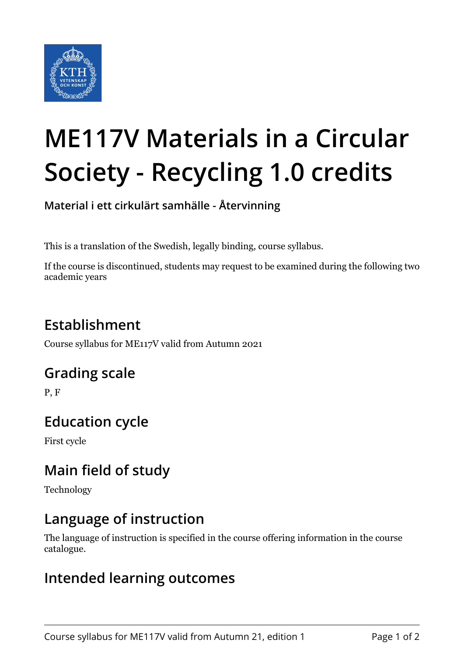

# **ME117V Materials in a Circular Society - Recycling 1.0 credits**

**Material i ett cirkulärt samhälle - Återvinning**

This is a translation of the Swedish, legally binding, course syllabus.

If the course is discontinued, students may request to be examined during the following two academic years

# **Establishment**

Course syllabus for ME117V valid from Autumn 2021

### **Grading scale**

P, F

## **Education cycle**

First cycle

## **Main field of study**

Technology

### **Language of instruction**

The language of instruction is specified in the course offering information in the course catalogue.

#### **Intended learning outcomes**